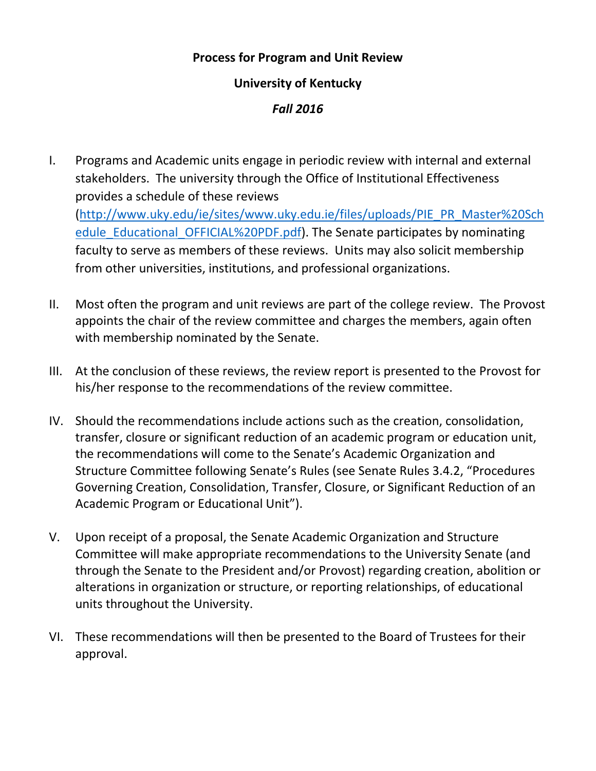## **Process for Program and Unit Review**

## **University of Kentucky**

## *Fall 2016*

- I. Programs and Academic units engage in periodic review with internal and external stakeholders. The university through the Office of Institutional Effectiveness provides a schedule of these reviews [\(http://www.uky.edu/ie/sites/www.uky.edu.ie/files/uploads/PIE\\_PR\\_Master%20Sch](http://www.uky.edu/ie/sites/www.uky.edu.ie/files/uploads/PIE_PR_Master%20Schedule_Educational_OFFICIAL%20PDF.pdf) [edule\\_Educational\\_OFFICIAL%20PDF.pdf\)](http://www.uky.edu/ie/sites/www.uky.edu.ie/files/uploads/PIE_PR_Master%20Schedule_Educational_OFFICIAL%20PDF.pdf). The Senate participates by nominating faculty to serve as members of these reviews. Units may also solicit membership from other universities, institutions, and professional organizations.
- II. Most often the program and unit reviews are part of the college review. The Provost appoints the chair of the review committee and charges the members, again often with membership nominated by the Senate.
- III. At the conclusion of these reviews, the review report is presented to the Provost for his/her response to the recommendations of the review committee.
- IV. Should the recommendations include actions such as the creation, consolidation, transfer, closure or significant reduction of an academic program or education unit, the recommendations will come to the Senate's Academic Organization and Structure Committee following Senate's Rules (see Senate Rules 3.4.2, "Procedures Governing Creation, Consolidation, Transfer, Closure, or Significant Reduction of an Academic Program or Educational Unit").
- V. Upon receipt of a proposal, the Senate Academic Organization and Structure Committee will make appropriate recommendations to the University Senate (and through the Senate to the President and/or Provost) regarding creation, abolition or alterations in organization or structure, or reporting relationships, of educational units throughout the University.
- VI. These recommendations will then be presented to the Board of Trustees for their approval.